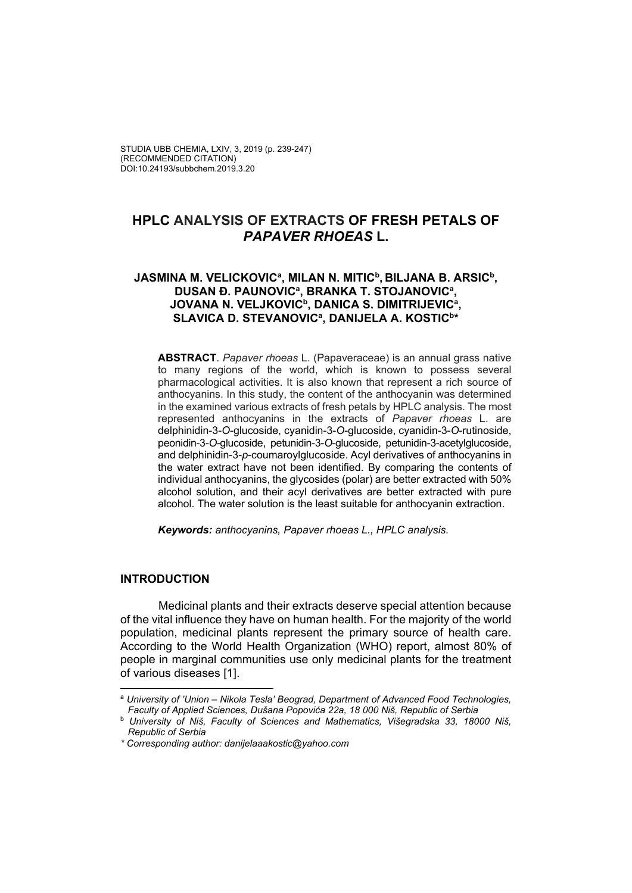# **HPLC ANALYSIS OF EXTRACTS OF FRESH PETALS OF**  *PAPAVER RHOEAS* **L.**

### JASMINA M. VELICKOVICª, MILAN N. MITIC<sup>b</sup>, BILJANA B. ARSIC<sup>b</sup>, DUSAN Đ. PAUNOVIC<sup>a</sup>, BRANKA T. STOJANOVIC<sup>a</sup>, **JOVANA N. VELJKOVICb, DANICA S. DIMITRIJEVICa , SLAVICA D. STEVANOVICa , DANIJELA A. KOSTICb\***

**ABSTRACT**. *Papaver rhoeas* L. (Papaveraceae) is an annual grass native to many regions of the world, which is known to possess several pharmacological activities. It is also known that represent a rich source of anthocyanins. In this study, the content of the anthocyanin was determined in the examined various extracts of fresh petals by HPLC analysis. The most represented anthocyanins in the extracts of *Papaver rhoeas* L. are delphinidin-3-*O*-glucoside, cyanidin-3-*O*-glucoside, cyanidin-3-*O*-rutinoside, peonidin-3-*O*-glucoside, petunidin-3-*O*-glucoside, petunidin-3-acetylglucoside, and delphinidin-3-*p*-coumaroylglucoside. Acyl derivatives of anthocyanins in the water extract have not been identified. By comparing the contents of individual anthocyanins, the glycosides (polar) are better extracted with 50% alcohol solution, and their acyl derivatives are better extracted with pure alcohol. The water solution is the least suitable for anthocyanin extraction.

*Keywords: anthocyanins, Papaver rhoeas L., HPLC analysis.*

#### **INTRODUCTION**

 Medicinal plants and their extracts deserve special attention because of the vital influence they have on human health. For the majority of the world population, medicinal plants represent the primary source of health care. According to the World Health Organization (WHO) report, almost 80% of people in marginal communities use only medicinal plants for the treatment of various diseases [1].

 <sup>a</sup> *University of 'Union – Nikola Tesla' Beograd, Department of Advanced Food Technologies, Faculty of Applied Sciences, Dušana Popovića 22a, 18 000 Niš, Republic of Serbia*

<sup>b</sup> *University of Niš, Faculty of Sciences and Mathematics, Višegradska 33, 18000 Niš, Republic of Serbia* 

*<sup>\*</sup> Corresponding author: danijelaaakostic@yahoo.com*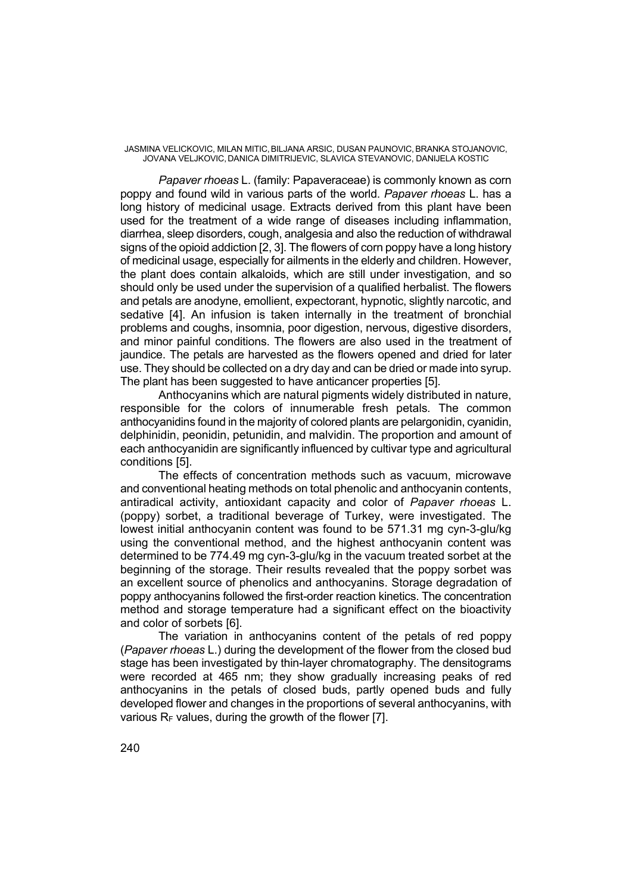JASMINA VELICKOVIC, MILAN MITIC,BILJANA ARSIC, DUSAN PAUNOVIC,BRANKA STOJANOVIC, JOVANA VELJKOVIC, DANICA DIMITRIJEVIC, SLAVICA STEVANOVIC, DANIJELA KOSTIC

*Papaver rhoeas* L. (family: Papaveraceae) is commonly known as corn poppy and found wild in various parts of the world. *Papaver rhoeas* L. has a long history of medicinal usage. Extracts derived from this plant have been used for the treatment of a wide range of diseases including inflammation, diarrhea, sleep disorders, cough, analgesia and also the reduction of withdrawal signs of the opioid addiction [2, 3]. The flowers of corn poppy have a long history of medicinal usage, especially for ailments in the elderly and children. However, the plant does contain alkaloids, which are still under investigation, and so should only be used under the supervision of a qualified herbalist. The flowers and petals are anodyne, emollient, expectorant, hypnotic, slightly narcotic, and sedative [4]. An infusion is taken internally in the treatment of bronchial problems and coughs, insomnia, poor digestion, nervous, digestive disorders, and minor painful conditions. The flowers are also used in the treatment of jaundice. The petals are harvested as the flowers opened and dried for later use. They should be collected on a dry day and can be dried or made into syrup. The plant has been suggested to have anticancer properties [5].

Anthocyanins which are natural pigments widely distributed in nature, responsible for the colors of innumerable fresh petals*.* The common anthocyanidins found in the majority of colored plants are pelargonidin, cyanidin, delphinidin, peonidin, petunidin, and malvidin. The proportion and amount of each anthocyanidin are significantly influenced by cultivar type and agricultural conditions [5].

The effects of concentration methods such as vacuum, microwave and conventional heating methods on total phenolic and anthocyanin contents, antiradical activity, antioxidant capacity and color of *Papaver rhoeas* L. (poppy) sorbet, a traditional beverage of Turkey, were investigated. The lowest initial anthocyanin content was found to be 571.31 mg cyn-3-glu/kg using the conventional method, and the highest anthocyanin content was determined to be 774.49 mg cyn-3-glu/kg in the vacuum treated sorbet at the beginning of the storage. Their results revealed that the poppy sorbet was an excellent source of phenolics and anthocyanins. Storage degradation of poppy anthocyanins followed the first-order reaction kinetics. The concentration method and storage temperature had a significant effect on the bioactivity and color of sorbets [6].

The variation in anthocyanins content of the petals of red poppy (*Papaver rhoeas* L.) during the development of the flower from the closed bud stage has been investigated by thin-layer chromatography. The densitograms were recorded at 465 nm; they show gradually increasing peaks of red anthocyanins in the petals of closed buds, partly opened buds and fully developed flower and changes in the proportions of several anthocyanins, with various  $R_F$  values, during the growth of the flower [7].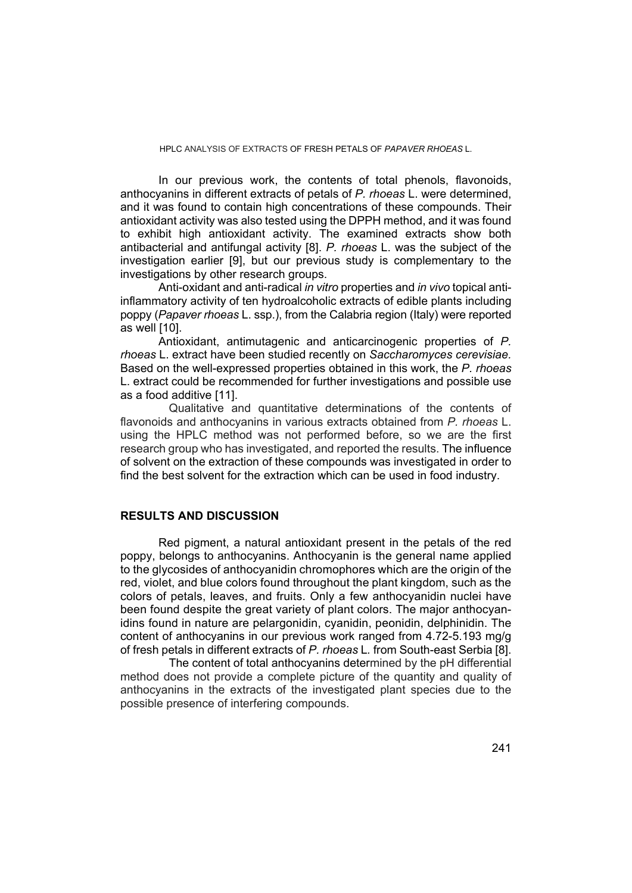#### HPLC ANALYSIS OF EXTRACTS OF FRESH PETALS OF *PAPAVER RHOEAS* L.

In our previous work, the contents of total phenols, flavonoids, anthocyanins in different extracts of petals of *P. rhoeas* L. were determined, and it was found to contain high concentrations of these compounds. Their antioxidant activity was also tested using the DPPH method, and it was found to exhibit high antioxidant activity. The examined extracts show both antibacterial and antifungal activity [8]. *P. rhoeas* L. was the subject of the investigation earlier [9], but our previous study is complementary to the investigations by other research groups.

Anti-oxidant and anti-radical *in vitro* properties and *in vivo* topical antiinflammatory activity of ten hydroalcoholic extracts of edible plants including poppy (*Papaver rhoeas* L. ssp.), from the Calabria region (Italy) were reported as well [10].

Antioxidant, antimutagenic and anticarcinogenic properties of *P. rhoeas* L. extract have been studied recently on *Saccharomyces cerevisiae.* Based on the well-expressed properties obtained in this work, the *P. rhoeas* L. extract could be recommended for further investigations and possible use as a food additive [11].

 Qualitative and quantitative determinations of the contents of flavonoids and anthocyanins in various extracts obtained from *P. rhoeas* L. using the HPLC method was not performed before, so we are the first research group who has investigated, and reported the results. The influence of solvent on the extraction of these compounds was investigated in order to find the best solvent for the extraction which can be used in food industry.

#### **RESULTS AND DISCUSSION**

 Red pigment, a natural antioxidant present in the petals of the red poppy, belongs to anthocyanins. Anthocyanin is the general name applied to the glycosides of anthocyanidin chromophores which are the origin of the red, violet, and blue colors found throughout the plant kingdom, such as the colors of petals, leaves, and fruits. Only a few anthocyanidin nuclei have been found despite the great variety of plant colors. The major anthocyanidins found in nature are pelargonidin, cyanidin, peonidin, delphinidin. The content of anthocyanins in our previous work ranged from 4.72-5.193 mg/g of fresh petals in different extracts of *P. rhoeas* L*.* from South-east Serbia [8].

 The content of total anthocyanins determined by the pH differential method does not provide a complete picture of the quantity and quality of anthocyanins in the extracts of the investigated plant species due to the possible presence of interfering compounds.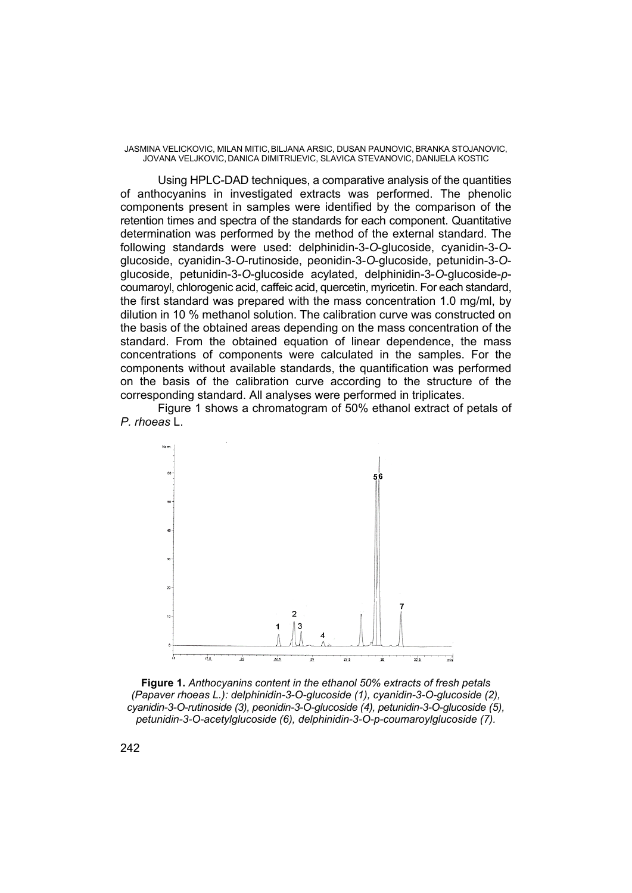JASMINA VELICKOVIC, MILAN MITIC,BILJANA ARSIC, DUSAN PAUNOVIC,BRANKA STOJANOVIC, JOVANA VELJKOVIC, DANICA DIMITRIJEVIC, SLAVICA STEVANOVIC, DANIJELA KOSTIC

 Using HPLC-DAD techniques, a comparative analysis of the quantities of anthocyanins in investigated extracts was performed. The phenolic components present in samples were identified by the comparison of the retention times and spectra of the standards for each component. Quantitative determination was performed by the method of the external standard. The following standards were used: delphinidin-3-*O*-glucoside, cyanidin-3-*O*glucoside, cyanidin-3-*O*-rutinoside, peonidin-3-*O*-glucoside, petunidin-3-*O*glucoside, petunidin-3-*O*-glucoside acylated, delphinidin-3-*O*-glucoside-*p*coumaroyl, chlorogenic acid, caffeic acid, quercetin, myricetin. For each standard, the first standard was prepared with the mass concentration 1.0 mg/ml, by dilution in 10 % methanol solution. The calibration curve was constructed on the basis of the obtained areas depending on the mass concentration of the standard. From the obtained equation of linear dependence, the mass concentrations of components were calculated in the samples. For the components without available standards, the quantification was performed on the basis of the calibration curve according to the structure of the corresponding standard. All analyses were performed in triplicates.

Figure 1 shows a chromatogram of 50% ethanol extract of petals of *P. rhoeas* L.



**Figure 1.** *Anthocyanins content in the ethanol 50% extracts of fresh petals (Papaver rhoeas L.): delphinidin-3-O-glucoside (1), cyanidin-3-O-glucoside (2), cyanidin-3-O-rutinoside (3), peonidin-3-O-glucoside (4), petunidin-3-O-glucoside (5), petunidin-3-O-acetylglucoside (6), delphinidin-3-O-p-coumaroylglucoside (7).*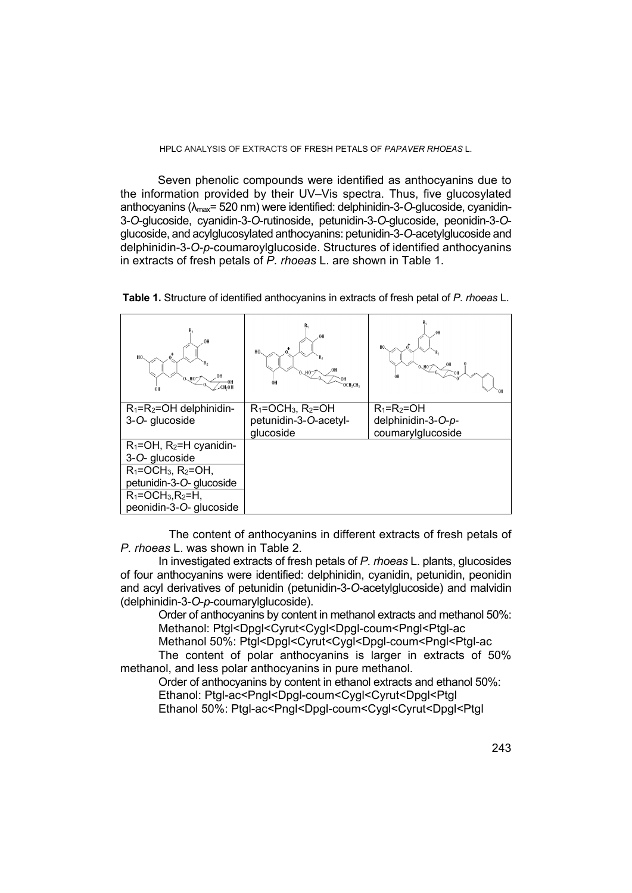Seven phenolic compounds were identified as anthocyanins due to the information provided by their UV–Vis spectra. Thus, five glucosylated anthocyanins (λmax= 520 nm) were identified: delphinidin-3-*O*-glucoside, cyanidin-3-*O*-glucoside, cyanidin-3-*O*-rutinoside, petunidin-3-*O*-glucoside, peonidin-3-*O*glucoside, and acylglucosylated anthocyanins: petunidin-3-*O*-acetylglucoside and delphinidin-3-*O*-*p*-coumaroylglucoside. Structures of identified anthocyanins in extracts of fresh petals of *P. rhoeas* L. are shown in Table 1.

| 0H<br>H <sub>0</sub><br>0.10<br>CH <sub>2</sub> OH<br>OH | 0H<br>H <sub>0</sub><br>OH<br>OCH <sub>2</sub> CH <sub>3</sub> | 0H<br>H <sub>0</sub> |
|----------------------------------------------------------|----------------------------------------------------------------|----------------------|
| $R_1 = R_2 = OH$ delphinidin-                            | $R_1 = OCH_3$ , $R_2 = OH$                                     | $R_1=R_2=OH$         |
| 3-O- glucoside                                           | petunidin-3-O-acetyl-                                          | delphinidin-3-O-p-   |
|                                                          | glucoside                                                      | coumarylglucoside    |
| $R_1 = OH$ , $R_2 = H$ cyanidin-                         |                                                                |                      |
| 3-O- glucoside                                           |                                                                |                      |
| $R_1 = OCH_3$ , $R_2 = OH$ ,                             |                                                                |                      |
| petunidin-3-O- glucoside                                 |                                                                |                      |
| $R_1 = OCH_3, R_2 = H$                                   |                                                                |                      |
| peonidin-3-O- glucoside                                  |                                                                |                      |

**Table 1.** Structure of identified anthocyanins in extracts of fresh petal of *P. rhoeas* L.

 The content of anthocyanins in different extracts of fresh petals of *P. rhoeas* L. was shown in Table 2.

In investigated extracts of fresh petals of *P. rhoeas* L. plants, glucosides of four anthocyanins were identified: delphinidin, cyanidin, petunidin, peonidin and acyl derivatives of petunidin (petunidin-3-*O*-acetylglucoside) and malvidin (delphinidin-3-*O*-*p*-coumarylglucoside).

Order of anthocyanins by content in methanol extracts and methanol 50%: Methanol: Ptgl<Dpgl<Cyrut<Cygl<Dpgl-coum<Pngl<Ptgl-ac

Methanol 50%: Ptgl<Dpgl<Cyrut<Cygl<Dpgl-coum<Pngl<Ptgl-ac

The content of polar anthocyanins is larger in extracts of 50% methanol, and less polar anthocyanins in pure methanol.

Order of anthocyanins by content in ethanol extracts and ethanol 50%: Ethanol: Ptgl-ac<Pngl<Dpgl-coum<Cygl<Cyrut<Dpgl<Ptgl Ethanol 50%: Ptgl-ac<Pngl<Dpgl-coum<Cygl<Cyrut<Dpgl<Ptgl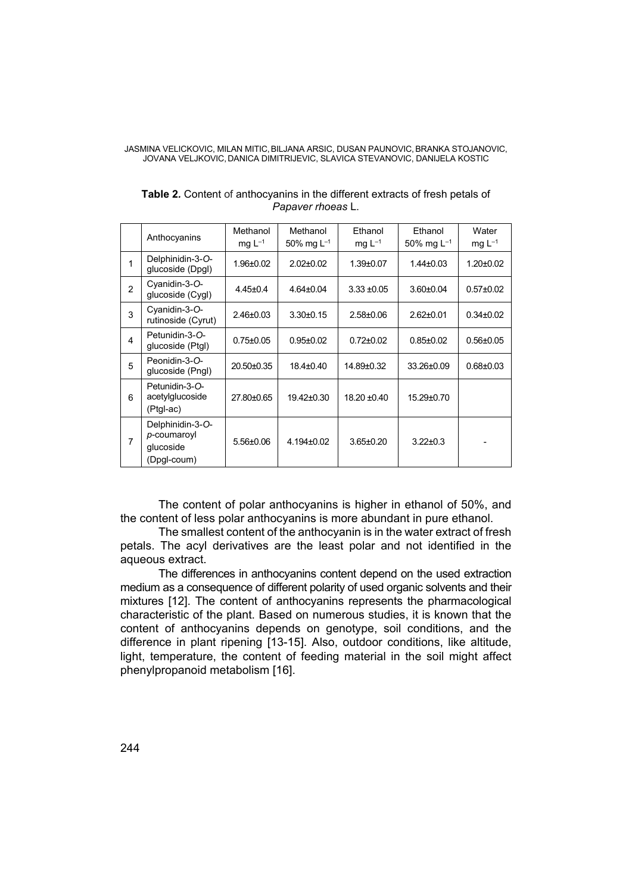JASMINA VELICKOVIC, MILAN MITIC,BILJANA ARSIC, DUSAN PAUNOVIC,BRANKA STOJANOVIC, JOVANA VELJKOVIC, DANICA DIMITRIJEVIC, SLAVICA STEVANOVIC, DANIJELA KOSTIC

|                | Anthocyanins                                                | Methanol<br>mg $L^{-1}$ | Methanol<br>50% mg $L^{-1}$ | Ethanol<br>mg $L^{-1}$ | Ethanol<br>50% mg $L^{-1}$ | Water<br>mg $L^{-1}$ |
|----------------|-------------------------------------------------------------|-------------------------|-----------------------------|------------------------|----------------------------|----------------------|
| 1              | Delphinidin-3-O-<br>glucoside (Dpgl)                        | 1.96±0.02               | $2.02 \pm 0.02$             | $1.39 \pm 0.07$        | $1.44 \pm 0.03$            | $1.20 \pm 0.02$      |
| $\mathfrak{p}$ | Cyanidin-3-O-<br>glucoside (Cygl)                           | $4.45 \pm 0.4$          | $4.64 \pm 0.04$             | $3.33 + 0.05$          | $3.60 \pm 0.04$            | $0.57 \pm 0.02$      |
| 3              | Cyanidin-3-O-<br>rutinoside (Cyrut)                         | $2.46 \pm 0.03$         | $3.30 \pm 0.15$             | $2.58 \pm 0.06$        | $2.62 \pm 0.01$            | $0.34 \pm 0.02$      |
| 4              | Petunidin-3-O-<br>glucoside (Ptgl)                          | $0.75 \pm 0.05$         | $0.95 \pm 0.02$             | $0.72 \pm 0.02$        | $0.85 \pm 0.02$            | $0.56 \pm 0.05$      |
| 5              | Peonidin-3-O-<br>glucoside (Pngl)                           | 20.50±0.35              | 18.4±0.40                   | 14.89±0.32             | 33.26±0.09                 | $0.68 \pm 0.03$      |
| 6              | Petunidin-3-O-<br>acetylglucoside<br>(Ptgl-ac)              | 27.80±0.65              | $19.42 \pm 0.30$            | $18.20 \pm 0.40$       | 15.29±0.70                 |                      |
| 7              | Delphinidin-3-O-<br>p-coumaroyl<br>qlucoside<br>(Dpgl-coum) | $5.56 \pm 0.06$         | $4.194 \pm 0.02$            | $3.65 \pm 0.20$        | $3.22 \pm 0.3$             |                      |

**Table 2***.* Content of anthocyanins in the different extracts of fresh petals of *Papaver rhoeas* L.

The content of polar anthocyanins is higher in ethanol of 50%, and the content of less polar anthocyanins is more abundant in pure ethanol.

The smallest content of the anthocyanin is in the water extract of fresh petals. The acyl derivatives are the least polar and not identified in the aqueous extract.

The differences in anthocyanins content depend on the used extraction medium as a consequence of different polarity of used organic solvents and their mixtures [12]. The content of anthocyanins represents the pharmacological characteristic of the plant. Based on numerous studies, it is known that the content of anthocyanins depends on genotype, soil conditions, and the difference in plant ripening [13-15]. Also, outdoor conditions, like altitude, light, temperature, the content of feeding material in the soil might affect phenylpropanoid metabolism [16].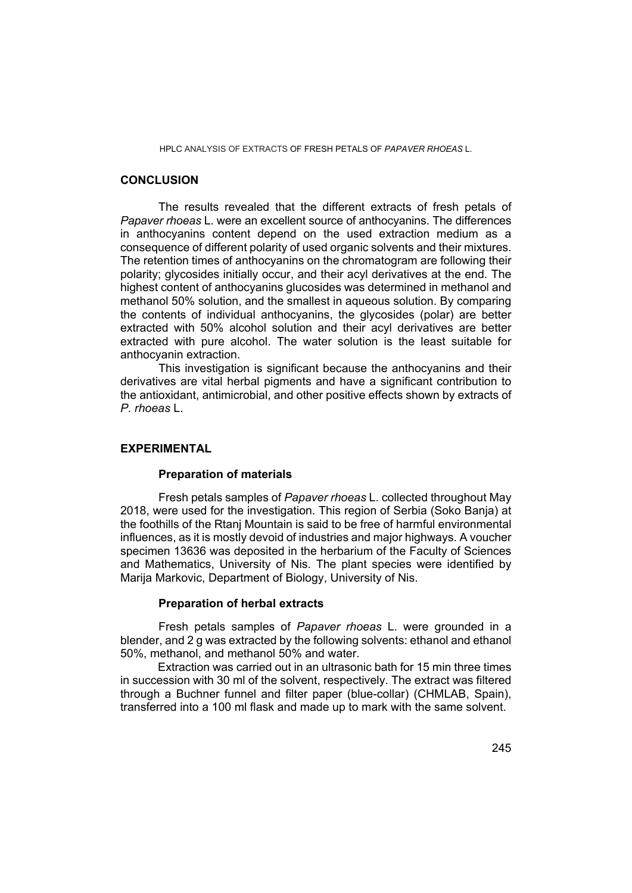## **CONCLUSION**

The results revealed that the different extracts of fresh petals of *Papaver rhoeas* L. were an excellent source of anthocyanins. The differences in anthocyanins content depend on the used extraction medium as a consequence of different polarity of used organic solvents and their mixtures. The retention times of anthocyanins on the chromatogram are following their polarity; glycosides initially occur, and their acyl derivatives at the end. The highest content of anthocyanins glucosides was determined in methanol and methanol 50% solution, and the smallest in aqueous solution. By comparing the contents of individual anthocyanins, the glycosides (polar) are better extracted with 50% alcohol solution and their acyl derivatives are better extracted with pure alcohol. The water solution is the least suitable for anthocyanin extraction.

This investigation is significant because the anthocyanins and their derivatives are vital herbal pigments and have a significant contribution to the antioxidant, antimicrobial, and other positive effects shown by extracts of *P. rhoeas* L.

#### **EXPERIMENTAL**

#### **Preparation of materials**

Fresh petals samples of *Papaver rhoeas* L. collected throughout May 2018, were used for the investigation. This region of Serbia (Soko Banja) at the foothills of the Rtanj Mountain is said to be free of harmful environmental influences, as it is mostly devoid of industries and major highways. A voucher specimen 13636 was deposited in the herbarium of the Faculty of Sciences and Mathematics, University of Nis. The plant species were identified by Marija Markovic, Department of Biology, University of Nis.

#### **Preparation of herbal extracts**

Fresh petals samples of *Papaver rhoeas* L. were grounded in a blender, and 2 g was extracted by the following solvents: ethanol and ethanol 50%, methanol, and methanol 50% and water.

Extraction was carried out in an ultrasonic bath for 15 min three times in succession with 30 ml of the solvent, respectively. The extract was filtered through a Buchner funnel and filter paper (blue-collar) (CHMLAB, Spain), transferred into a 100 ml flask and made up to mark with the same solvent.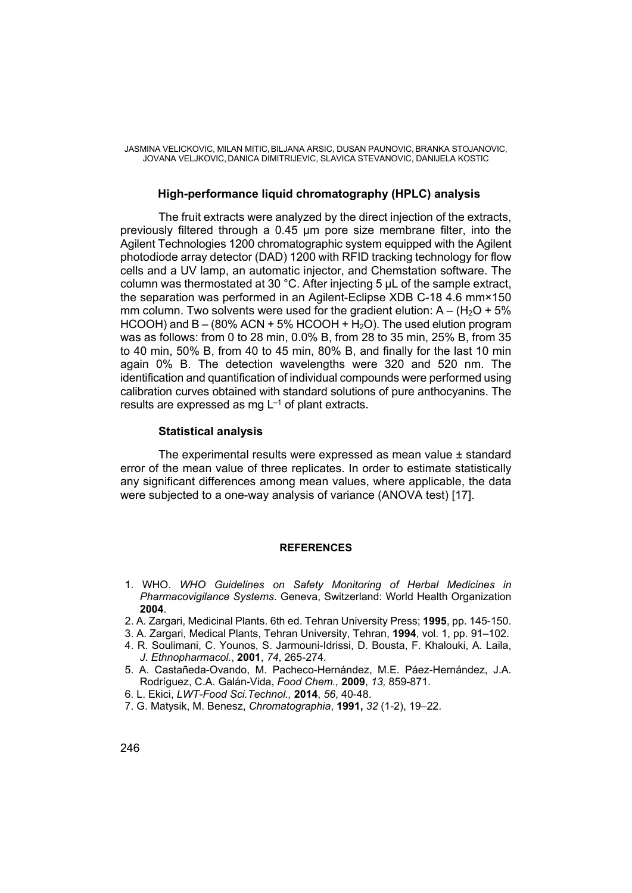# **High-performance liquid chromatography (HPLC) analysis**

The fruit extracts were analyzed by the direct injection of the extracts, previously filtered through a 0.45 μm pore size membrane filter, into the Agilent Technologies 1200 chromatographic system equipped with the Agilent photodiode array detector (DAD) 1200 with RFID tracking technology for flow cells and a UV lamp, an automatic injector, and Chemstation software. The column was thermostated at 30 °C. After injecting 5 μL of the sample extract, the separation was performed in an Agilent-Eclipse XDB C-18 4.6 mm×150 mm column. Two solvents were used for the gradient elution:  $A - (H_2O + 5\%)$ HCOOH) and  $B - (80\%$  ACN + 5% HCOOH + H<sub>2</sub>O). The used elution program was as follows: from 0 to 28 min, 0.0% B, from 28 to 35 min, 25% B, from 35 to 40 min, 50% B, from 40 to 45 min, 80% B, and finally for the last 10 min again 0% B. The detection wavelengths were 320 and 520 nm. The identification and quantification of individual compounds were performed using calibration curves obtained with standard solutions of pure anthocyanins. The results are expressed as mg  $L^{-1}$  of plant extracts.

# **Statistical analysis**

The experimental results were expressed as mean value ± standard error of the mean value of three replicates. In order to estimate statistically any significant differences among mean values, where applicable, the data were subjected to a one-way analysis of variance (ANOVA test) [17].

#### **REFERENCES**

- 1. WHO. *WHO Guidelines on Safety Monitoring of Herbal Medicines in Pharmacovigilance Systems*. Geneva, Switzerland: World Health Organization **2004**.
- 2. A. Zargari, Medicinal Plants. 6th ed. Tehran University Press; **1995**, pp. 145-150.
- 3. A. Zargari, Medical Plants, Tehran University, Tehran, **1994**, vol. 1, pp. 91–102.
- 4. R. Soulimani, C. Younos, S. Jarmouni-Idrissi, D. Bousta, F. Khalouki, A. Laila, *J. Ethnopharmacol.*, **2001**, *74*, 265-274.
- 5. A. Castañeda-Ovando, M. Pacheco-Hernández, M.E. Páez-Hernández, J.A. Rodríguez, C.A. Galán-Vida, *Food Chem.,* **2009**, *13,* 859-871.
- 6. L. Ekici, *LWT-Food Sci.Technol.,* **2014**, *56*, 40-48.
- 7. G. Matysik, M. Benesz, *Chromatographia*, **1991,** *32* (1-2), 19–22.